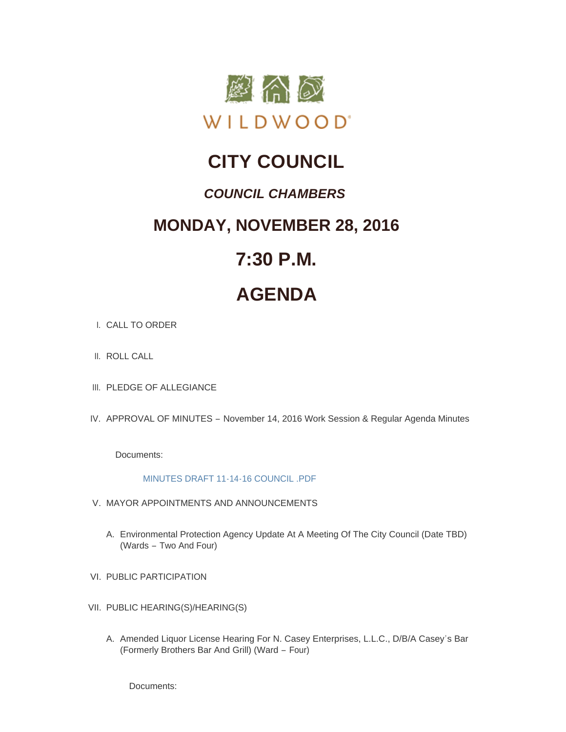

## **CITY COUNCIL**

### *COUNCIL CHAMBERS*

### **MONDAY, NOVEMBER 28, 2016**

## **7:30 P.M.**

# **AGENDA**

- CALL TO ORDER I.
- II. ROLL CALL
- III. PLEDGE OF ALLEGIANCE
- IV. APPROVAL OF MINUTES November 14, 2016 Work Session & Regular Agenda Minutes

Documents:

#### [MINUTES DRAFT 11-14-16 COUNCIL .PDF](http://mo-wildwood.civicplus.com/AgendaCenter/ViewFile/Item/9022?fileID=13295)

- V. MAYOR APPOINTMENTS AND ANNOUNCEMENTS
	- A. Environmental Protection Agency Update At A Meeting Of The City Council (Date TBD) (Wards – Two And Four)
- VI. PUBLIC PARTICIPATION
- VII. PUBLIC HEARING(S)/HEARING(S)
	- A. Amended Liquor License Hearing For N. Casey Enterprises, L.L.C., D/B/A Casey's Bar (Formerly Brothers Bar And Grill) (Ward – Four)

Documents: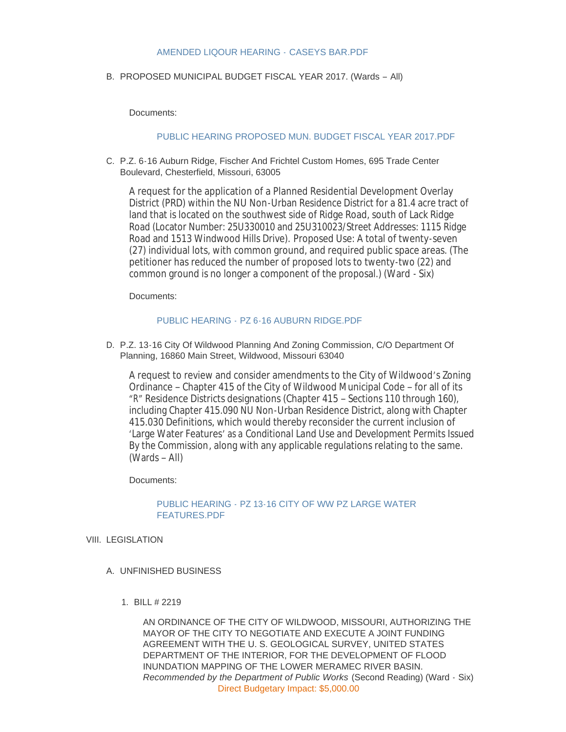#### [AMENDED LIQOUR HEARING -](http://mo-wildwood.civicplus.com/AgendaCenter/ViewFile/Item/9024?fileID=13311) CASEYS BAR.PDF

#### B. PROPOSED MUNICIPAL BUDGET FISCAL YEAR 2017. (Wards - All)

Documents:

#### [PUBLIC HEARING PROPOSED MUN. BUDGET FISCAL YEAR 2017.PDF](http://mo-wildwood.civicplus.com/AgendaCenter/ViewFile/Item/9025?fileID=13300)

C. P.Z. 6-16 Auburn Ridge, Fischer And Frichtel Custom Homes, 695 Trade Center Boulevard, Chesterfield, Missouri, 63005

A request for the application of a Planned Residential Development Overlay District (PRD) within the NU Non-Urban Residence District for a 81.4 acre tract of land that is located on the southwest side of Ridge Road, south of Lack Ridge Road (Locator Number: 25U330010 and 25U310023/Street Addresses: 1115 Ridge Road and 1513 Windwood Hills Drive). Proposed Use: A total of twenty-seven (27) individual lots, with common ground, and required public space areas. (The petitioner has reduced the number of proposed lots to twenty-two (22) and common ground is no longer a component of the proposal.) (Ward - Six)

Documents:

#### PUBLIC HEARING - [PZ 6-16 AUBURN RIDGE.PDF](http://mo-wildwood.civicplus.com/AgendaCenter/ViewFile/Item/9023?fileID=13298)

D. P.Z. 13-16 City Of Wildwood Planning And Zoning Commission, C/O Department Of Planning, 16860 Main Street, Wildwood, Missouri 63040

A request to review and consider amendments to the City of Wildwood's Zoning Ordinance – Chapter 415 of the City of Wildwood Municipal Code – for all of its "R" Residence Districts designations (Chapter 415 – Sections 110 through 160), including Chapter 415.090 NU Non-Urban Residence District, along with Chapter 415.030 Definitions, which would thereby reconsider the current inclusion of 'Large Water Features' as a *Conditional Land Use and Development Permits Issued By the Commission*, along with any applicable regulations relating to the same. (Wards – All)

#### Documents:

#### PUBLIC HEARING - [PZ 13-16 CITY OF WW PZ LARGE WATER](http://mo-wildwood.civicplus.com/AgendaCenter/ViewFile/Item/8983?fileID=13297)  FEATURES.PDF

#### VIII. LEGISLATION

- UNFINISHED BUSINESS A.
	- BILL # 2219 1.

AN ORDINANCE OF THE CITY OF WILDWOOD, MISSOURI, AUTHORIZING THE MAYOR OF THE CITY TO NEGOTIATE AND EXECUTE A JOINT FUNDING AGREEMENT WITH THE U. S. GEOLOGICAL SURVEY, UNITED STATES DEPARTMENT OF THE INTERIOR, FOR THE DEVELOPMENT OF FLOOD INUNDATION MAPPING OF THE LOWER MERAMEC RIVER BASIN. *Recommended by the Department of Public Works* (Second Reading) (Ward - Six) Direct Budgetary Impact: \$5,000.00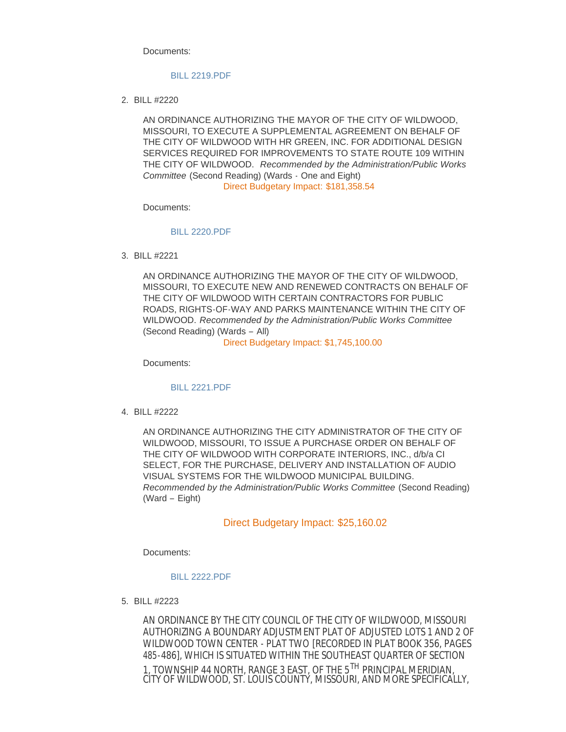Documents:

#### [BILL 2219.PDF](http://mo-wildwood.civicplus.com/AgendaCenter/ViewFile/Item/8986?fileID=13282)

BILL #2220 2.

AN ORDINANCE AUTHORIZING THE MAYOR OF THE CITY OF WILDWOOD, MISSOURI, TO EXECUTE A SUPPLEMENTAL AGREEMENT ON BEHALF OF THE CITY OF WILDWOOD WITH HR GREEN, INC. FOR ADDITIONAL DESIGN SERVICES REQUIRED FOR IMPROVEMENTS TO STATE ROUTE 109 WITHIN THE CITY OF WILDWOOD. *Recommended by the Administration/Public Works Committee* (Second Reading) (Wards - One and Eight) Direct Budgetary Impact: \$181,358.54

Documents:

#### [BILL 2220.PDF](http://mo-wildwood.civicplus.com/AgendaCenter/ViewFile/Item/8987?fileID=13283)

BILL #2221 3.

AN ORDINANCE AUTHORIZING THE MAYOR OF THE CITY OF WILDWOOD, MISSOURI, TO EXECUTE NEW AND RENEWED CONTRACTS ON BEHALF OF THE CITY OF WILDWOOD WITH CERTAIN CONTRACTORS FOR PUBLIC ROADS, RIGHTS-OF-WAY AND PARKS MAINTENANCE WITHIN THE CITY OF WILDWOOD. *Recommended by the Administration/Public Works Committee* (Second Reading) (Wards – All)

Direct Budgetary Impact: \$1,745,100.00

Documents:

#### [BILL 2221.PDF](http://mo-wildwood.civicplus.com/AgendaCenter/ViewFile/Item/8988?fileID=13286)

BILL #2222 4.

AN ORDINANCE AUTHORIZING THE CITY ADMINISTRATOR OF THE CITY OF WILDWOOD, MISSOURI, TO ISSUE A PURCHASE ORDER ON BEHALF OF THE CITY OF WILDWOOD WITH CORPORATE INTERIORS, INC., d/b/a CI SELECT, FOR THE PURCHASE, DELIVERY AND INSTALLATION OF AUDIO VISUAL SYSTEMS FOR THE WILDWOOD MUNICIPAL BUILDING. *Recommended by the Administration/Public Works Committee* (Second Reading) (Ward – Eight)

#### Direct Budgetary Impact: \$25,160.02

Documents:

#### [BILL 2222.PDF](http://mo-wildwood.civicplus.com/AgendaCenter/ViewFile/Item/8989?fileID=13284)

BILL #2223 5.

AN ORDINANCE BY THE CITY COUNCIL OF THE CITY OF WILDWOOD, MISSOURI AUTHORIZING A BOUNDARY ADJUSTMENT PLAT OF *ADJUSTED LOTS 1 AND 2 OF WILDWOOD TOWN CENTER - PLAT TWO* [RECORDED IN PLAT BOOK 356, PAGES 485-486], WHICH IS SITUATED WITHIN THE SOUTHEAST QUARTER OF SECTION 1, TOWNSHIP 44 NORTH, RANGE 3 EAST, OF THE 5<sup>TH</sup> PRINCIPAL MERIDIAN, CITY OF WILDWOOD, ST. LOUIS COUNTY, MISSOURI, AND MORE SPECIFICALLY,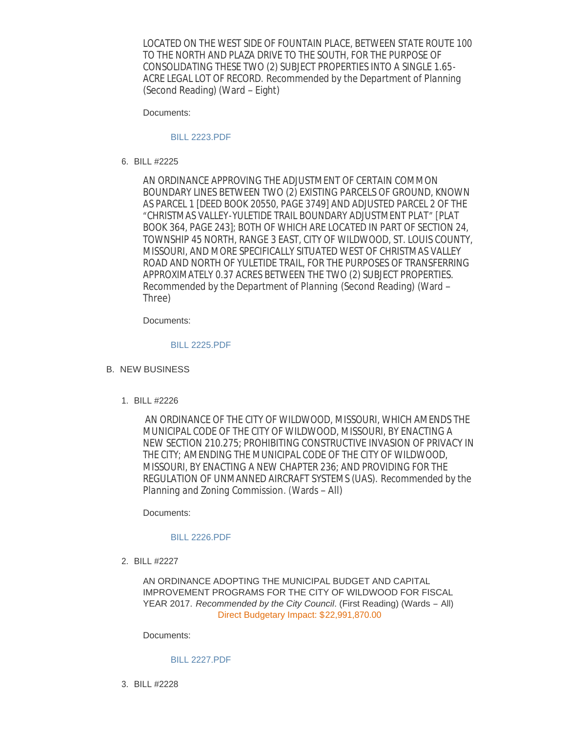LOCATED ON THE WEST SIDE OF FOUNTAIN PLACE, BETWEEN STATE ROUTE 100 TO THE NORTH AND PLAZA DRIVE TO THE SOUTH, FOR THE PURPOSE OF CONSOLIDATING THESE TWO (2) SUBJECT PROPERTIES INTO A SINGLE 1.65- ACRE LEGAL LOT OF RECORD. *Recommended by the Department of Planning* (Second Reading) (Ward – Eight)

Documents:

#### [BILL 2223.PDF](http://mo-wildwood.civicplus.com/AgendaCenter/ViewFile/Item/8990?fileID=13285)

BILL #2225 6.

AN ORDINANCE APPROVING THE ADJUSTMENT OF CERTAIN COMMON BOUNDARY LINES BETWEEN TWO (2) EXISTING PARCELS OF GROUND, KNOWN AS PARCEL 1 [DEED BOOK 20550, PAGE 3749] AND ADJUSTED PARCEL 2 OF THE "CHRISTMAS VALLEY-YULETIDE TRAIL BOUNDARY ADJUSTMENT PLAT" [PLAT BOOK 364, PAGE 243]; BOTH OF WHICH ARE LOCATED IN PART OF SECTION 24, TOWNSHIP 45 NORTH, RANGE 3 EAST, CITY OF WILDWOOD, ST. LOUIS COUNTY, MISSOURI, AND MORE SPECIFICALLY SITUATED WEST OF CHRISTMAS VALLEY ROAD AND NORTH OF YULETIDE TRAIL, FOR THE PURPOSES OF TRANSFERRING APPROXIMATELY 0.37 ACRES BETWEEN THE TWO (2) SUBJECT PROPERTIES. *Recommended by the Department of Planning* (Second Reading) (Ward – Three)

Documents:

#### [BILL 2225.PDF](http://mo-wildwood.civicplus.com/AgendaCenter/ViewFile/Item/9021?fileID=13288)

- B. NEW BUSINESS
	- BILL #2226 1.

AN ORDINANCE OF THE CITY OF WILDWOOD, MISSOURI, WHICH AMENDS THE MUNICIPAL CODE OF THE CITY OF WILDWOOD, MISSOURI, BY ENACTING A NEW SECTION 210.275; PROHIBITING CONSTRUCTIVE INVASION OF PRIVACY IN THE CITY; AMENDING THE MUNICIPAL CODE OF THE CITY OF WILDWOOD, MISSOURI, BY ENACTING A NEW CHAPTER 236; AND PROVIDING FOR THE REGULATION OF UNMANNED AIRCRAFT SYSTEMS (UAS). *Recommended by the Planning and Zoning Commission*. (Wards – All)

Documents:

#### [BILL 2226.PDF](http://mo-wildwood.civicplus.com/AgendaCenter/ViewFile/Item/8977?fileID=13287)

BILL #2227 2.

AN ORDINANCE ADOPTING THE MUNICIPAL BUDGET AND CAPITAL IMPROVEMENT PROGRAMS FOR THE CITY OF WILDWOOD FOR FISCAL YEAR 2017. *Recommended by the City Council*. (First Reading) (Wards – All) Direct Budgetary Impact: \$22,991,870.00

Documents:

[BILL 2227.PDF](http://mo-wildwood.civicplus.com/AgendaCenter/ViewFile/Item/8978?fileID=13289)

BILL #2228 3.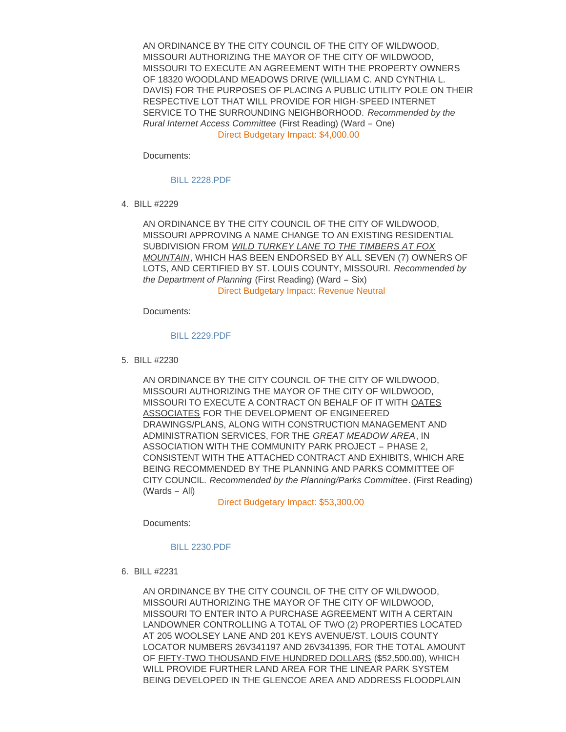AN ORDINANCE BY THE CITY COUNCIL OF THE CITY OF WILDWOOD, MISSOURI AUTHORIZING THE MAYOR OF THE CITY OF WILDWOOD, MISSOURI TO EXECUTE AN AGREEMENT WITH THE PROPERTY OWNERS OF 18320 WOODLAND MEADOWS DRIVE (WILLIAM C. AND CYNTHIA L. DAVIS) FOR THE PURPOSES OF PLACING A PUBLIC UTILITY POLE ON THEIR RESPECTIVE LOT THAT WILL PROVIDE FOR HIGH-SPEED INTERNET SERVICE TO THE SURROUNDING NEIGHBORHOOD. *Recommended by the Rural Internet Access Committee* (First Reading) (Ward – One) Direct Budgetary Impact: \$4,000.00

Documents:

[BILL 2228.PDF](http://mo-wildwood.civicplus.com/AgendaCenter/ViewFile/Item/8979?fileID=13291)

BILL #2229 4.

AN ORDINANCE BY THE CITY COUNCIL OF THE CITY OF WILDWOOD, MISSOURI APPROVING A NAME CHANGE TO AN EXISTING RESIDENTIAL SUBDIVISION FROM *WILD TURKEY LANE TO THE TIMBERS AT FOX MOUNTAIN*, WHICH HAS BEEN ENDORSED BY ALL SEVEN (7) OWNERS OF LOTS, AND CERTIFIED BY ST. LOUIS COUNTY, MISSOURI. *Recommended by the Department of Planning* (First Reading) (Ward – Six) Direct Budgetary Impact: Revenue Neutral

Documents:

#### [BILL 2229.PDF](http://mo-wildwood.civicplus.com/AgendaCenter/ViewFile/Item/8980?fileID=13290)

BILL #2230 5.

AN ORDINANCE BY THE CITY COUNCIL OF THE CITY OF WILDWOOD, MISSOURI AUTHORIZING THE MAYOR OF THE CITY OF WILDWOOD, MISSOURI TO EXECUTE A CONTRACT ON BEHALF OF IT WITH OATES ASSOCIATES FOR THE DEVELOPMENT OF ENGINEERED DRAWINGS/PLANS, ALONG WITH CONSTRUCTION MANAGEMENT AND ADMINISTRATION SERVICES, FOR THE *GREAT MEADOW AREA*, IN ASSOCIATION WITH THE COMMUNITY PARK PROJECT – PHASE 2, CONSISTENT WITH THE ATTACHED CONTRACT AND EXHIBITS, WHICH ARE BEING RECOMMENDED BY THE PLANNING AND PARKS COMMITTEE OF CITY COUNCIL. *Recommended by the Planning/Parks Committee*. (First Reading) (Wards – All)

Direct Budgetary Impact: \$53,300.00

Documents:

#### [BILL 2230.PDF](http://mo-wildwood.civicplus.com/AgendaCenter/ViewFile/Item/8981?fileID=13294)

BILL #2231 6.

AN ORDINANCE BY THE CITY COUNCIL OF THE CITY OF WILDWOOD, MISSOURI AUTHORIZING THE MAYOR OF THE CITY OF WILDWOOD, MISSOURI TO ENTER INTO A PURCHASE AGREEMENT WITH A CERTAIN LANDOWNER CONTROLLING A TOTAL OF TWO (2) PROPERTIES LOCATED AT 205 WOOLSEY LANE AND 201 KEYS AVENUE/ST. LOUIS COUNTY LOCATOR NUMBERS 26V341197 AND 26V341395, FOR THE TOTAL AMOUNT OF FIFTY-TWO THOUSAND FIVE HUNDRED DOLLARS (\$52,500.00), WHICH WILL PROVIDE FURTHER LAND AREA FOR THE LINEAR PARK SYSTEM BEING DEVELOPED IN THE GLENCOE AREA AND ADDRESS FLOODPLAIN